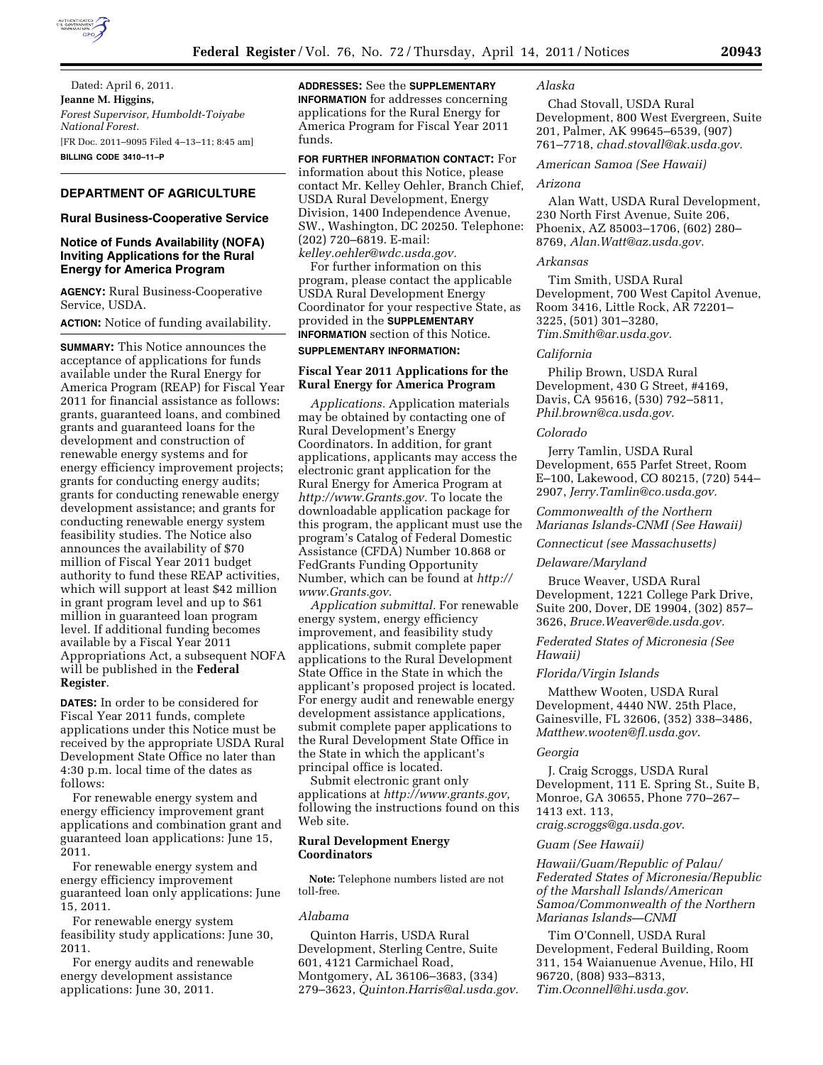

Dated: April 6, 2011. **Jeanne M. Higgins,**  *Forest Supervisor, Humboldt-Toiyabe National Forest.*  [FR Doc. 2011–9095 Filed 4–13–11; 8:45 am] **BILLING CODE 3410–11–P** 

# **DEPARTMENT OF AGRICULTURE**

# **Rural Business-Cooperative Service**

# **Notice of Funds Availability (NOFA) Inviting Applications for the Rural Energy for America Program**

**AGENCY:** Rural Business-Cooperative Service, USDA.

**ACTION:** Notice of funding availability.

**SUMMARY:** This Notice announces the acceptance of applications for funds available under the Rural Energy for America Program (REAP) for Fiscal Year 2011 for financial assistance as follows: grants, guaranteed loans, and combined grants and guaranteed loans for the development and construction of renewable energy systems and for energy efficiency improvement projects; grants for conducting energy audits; grants for conducting renewable energy development assistance; and grants for conducting renewable energy system feasibility studies. The Notice also announces the availability of \$70 million of Fiscal Year 2011 budget authority to fund these REAP activities, which will support at least \$42 million in grant program level and up to \$61 million in guaranteed loan program level. If additional funding becomes available by a Fiscal Year 2011 Appropriations Act, a subsequent NOFA will be published in the **Federal Register**.

**DATES:** In order to be considered for Fiscal Year 2011 funds, complete applications under this Notice must be received by the appropriate USDA Rural Development State Office no later than 4:30 p.m. local time of the dates as follows:

For renewable energy system and energy efficiency improvement grant applications and combination grant and guaranteed loan applications: June 15, 2011.

For renewable energy system and energy efficiency improvement guaranteed loan only applications: June 15, 2011.

For renewable energy system feasibility study applications: June 30, 2011.

For energy audits and renewable energy development assistance applications: June 30, 2011.

**ADDRESSES:** See the **SUPPLEMENTARY INFORMATION** for addresses concerning applications for the Rural Energy for America Program for Fiscal Year 2011 funds.

# **FOR FURTHER INFORMATION CONTACT:** For

information about this Notice, please contact Mr. Kelley Oehler, Branch Chief, USDA Rural Development, Energy Division, 1400 Independence Avenue, SW., Washington, DC 20250. Telephone: (202) 720–6819. E-mail: *[kelley.oehler@wdc.usda.gov.](mailto:kelley.oehler@wdc.usda.gov)* 

For further information on this program, please contact the applicable USDA Rural Development Energy Coordinator for your respective State, as provided in the **SUPPLEMENTARY INFORMATION** section of this Notice.

#### **SUPPLEMENTARY INFORMATION:**

# **Fiscal Year 2011 Applications for the Rural Energy for America Program**

*Applications.* Application materials may be obtained by contacting one of Rural Development's Energy Coordinators. In addition, for grant applications, applicants may access the electronic grant application for the Rural Energy for America Program at *[http://www.Grants.gov.](http://www.Grants.gov)* To locate the downloadable application package for this program, the applicant must use the program's Catalog of Federal Domestic Assistance (CFDA) Number 10.868 or FedGrants Funding Opportunity Number, which can be found at *[http://](http://www.Grants.gov) [www.Grants.gov.](http://www.Grants.gov)* 

*Application submittal.* For renewable energy system, energy efficiency improvement, and feasibility study applications, submit complete paper applications to the Rural Development State Office in the State in which the applicant's proposed project is located. For energy audit and renewable energy development assistance applications, submit complete paper applications to the Rural Development State Office in the State in which the applicant's principal office is located.

Submit electronic grant only applications at *[http://www.grants.gov,](http://www.grants.gov)*  following the instructions found on this Web site.

# **Rural Development Energy Coordinators**

**Note:** Telephone numbers listed are not toll-free.

# *Alabama*

Quinton Harris, USDA Rural Development, Sterling Centre, Suite 601, 4121 Carmichael Road, Montgomery, AL 36106–3683, (334) 279–3623, *[Quinton.Harris@al.usda.gov.](mailto:Quinton.Harris@al.usda.gov)* 

# *Alaska*

Chad Stovall, USDA Rural Development, 800 West Evergreen, Suite 201, Palmer, AK 99645–6539, (907) 761–7718, *[chad.stovall@ak.usda.gov.](mailto:chad.stovall@ak.usda.gov)* 

## *American Samoa (See Hawaii)*

#### *Arizona*

Alan Watt, USDA Rural Development, 230 North First Avenue, Suite 206, Phoenix, AZ 85003–1706, (602) 280– 8769, *[Alan.Watt@az.usda.gov.](mailto:Alan.Watt@az.usda.gov)* 

## *Arkansas*

Tim Smith, USDA Rural Development, 700 West Capitol Avenue, Room 3416, Little Rock, AR 72201– 3225, (501) 301–3280, *[Tim.Smith@ar.usda.gov.](mailto:Tim.Smith@ar.usda.gov)* 

#### *California*

Philip Brown, USDA Rural Development, 430 G Street, #4169, Davis, CA 95616, (530) 792–5811, *[Phil.brown@ca.usda.gov.](mailto:Phil.brown@ca.usda.gov)* 

# *Colorado*

Jerry Tamlin, USDA Rural Development, 655 Parfet Street, Room E–100, Lakewood, CO 80215, (720) 544– 2907, *[Jerry.Tamlin@co.usda.gov.](mailto:Jerry.Tamlin@co.usda.gov)* 

# *Commonwealth of the Northern Marianas Islands-CNMI (See Hawaii)*

*Connecticut (see Massachusetts)* 

## *Delaware/Maryland*

Bruce Weaver, USDA Rural Development, 1221 College Park Drive, Suite 200, Dover, DE 19904, (302) 857– 3626, *[Bruce.Weaver@de.usda.gov.](mailto:Bruce.Weaver@de.usda.gov)* 

# *Federated States of Micronesia (See Hawaii)*

# *Florida/Virgin Islands*

Matthew Wooten, USDA Rural Development, 4440 NW. 25th Place, Gainesville, FL 32606, (352) 338–3486, *[Matthew.wooten@fl.usda.gov](mailto:Matthew.wooten@fl.usda.gov)*.

## *Georgia*

J. Craig Scroggs, USDA Rural Development, 111 E. Spring St., Suite B, Monroe, GA 30655, Phone 770–267– 1413 ext. 113, *[craig.scroggs@ga.usda.gov](mailto:craig.scroggs@ga.usda.gov)*.

# *Guam (See Hawaii)*

*Hawaii/Guam/Republic of Palau/ Federated States of Micronesia/Republic of the Marshall Islands/American Samoa/Commonwealth of the Northern Marianas Islands—CNMI* 

Tim O'Connell, USDA Rural Development, Federal Building, Room 311, 154 Waianuenue Avenue, Hilo, HI 96720, (808) 933–8313, *[Tim.Oconnell@hi.usda.gov](mailto:Tim.Oconnell@hi.usda.gov)*.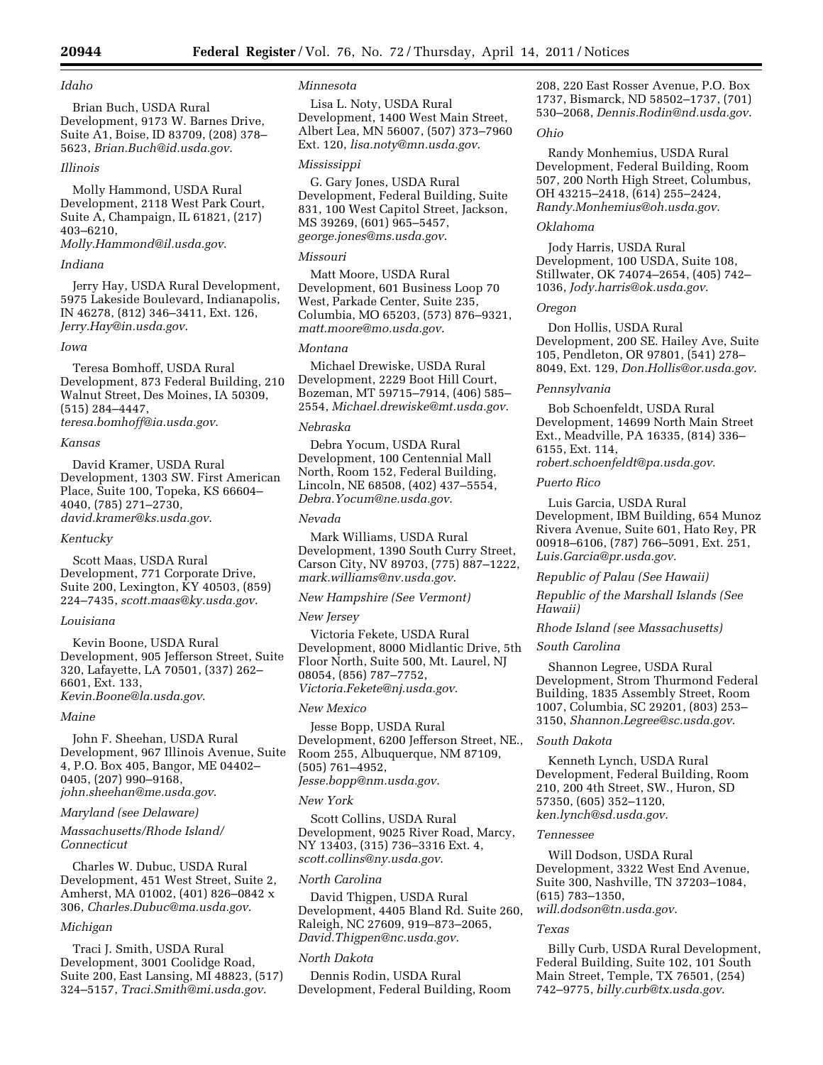## *Idaho*

Brian Buch, USDA Rural Development, 9173 W. Barnes Drive, Suite A1, Boise, ID 83709, (208) 378– 5623, *[Brian.Buch@id.usda.gov](mailto:Brian.Buch@id.usda.gov)*.

#### *Illinois*

Molly Hammond, USDA Rural Development, 2118 West Park Court, Suite A, Champaign, IL 61821, (217) 403–6210,

*[Molly.Hammond@il.usda.gov](mailto:Molly.Hammond@il.usda.gov)*.

# *Indiana*

Jerry Hay, USDA Rural Development, 5975 Lakeside Boulevard, Indianapolis, IN 46278, (812) 346–3411, Ext. 126, *[Jerry.Hay@in.usda.gov](mailto:Jerry.Hay@in.usda.gov)*.

#### *Iowa*

Teresa Bomhoff, USDA Rural Development, 873 Federal Building, 210 Walnut Street, Des Moines, IA 50309, (515) 284–4447,

*[teresa.bomhoff@ia.usda.gov](mailto:teresa.bomhoff@ia.usda.gov)*.

# *Kansas*

David Kramer, USDA Rural Development, 1303 SW. First American Place, Suite 100, Topeka, KS 66604– 4040, (785) 271–2730, *[david.kramer@ks.usda.gov](mailto:david.kramer@ks.usda.gov)*.

# *Kentucky*

Scott Maas, USDA Rural Development, 771 Corporate Drive, Suite 200, Lexington, KY 40503, (859) 224–7435, *[scott.maas@ky.usda.gov](mailto:scott.maas@ky.usda.gov)*.

# *Louisiana*

Kevin Boone, USDA Rural Development, 905 Jefferson Street, Suite 320, Lafayette, LA 70501, (337) 262– 6601, Ext. 133, *[Kevin.Boone@la.usda.gov](mailto:Kevin.Boone@la.usda.gov)*.

#### *Maine*

John F. Sheehan, USDA Rural Development, 967 Illinois Avenue, Suite 4, P.O. Box 405, Bangor, ME 04402– 0405, (207) 990–9168, *[john.sheehan@me.usda.gov](mailto:john.sheehan@me.usda.gov)*.

# *Maryland (see Delaware)*

*Massachusetts/Rhode Island/ Connecticut* 

Charles W. Dubuc, USDA Rural Development, 451 West Street, Suite 2, Amherst, MA 01002, (401) 826–0842 x 306, *[Charles.Dubuc@ma.usda.gov](mailto:Charles.Dubuc@ma.usda.gov)*.

#### *Michigan*

Traci J. Smith, USDA Rural Development, 3001 Coolidge Road, Suite 200, East Lansing, MI 48823, (517) 324–5157, *[Traci.Smith@mi.usda.gov](mailto:Traci.Smith@mi.usda.gov)*.

# *Minnesota*

Lisa L. Noty, USDA Rural Development, 1400 West Main Street, Albert Lea, MN 56007, (507) 373–7960 Ext. 120, *[lisa.noty@mn.usda.gov](mailto:lisa.noty@mn.usda.gov)*.

#### *Mississippi*

G. Gary Jones, USDA Rural Development, Federal Building, Suite 831, 100 West Capitol Street, Jackson, MS 39269, (601) 965–5457, *[george.jones@ms.usda.gov](mailto:george.jones@ms.usda.gov)*.

# *Missouri*

Matt Moore, USDA Rural Development, 601 Business Loop 70 West, Parkade Center, Suite 235, Columbia, MO 65203, (573) 876–9321, *[matt.moore@mo.usda.gov](mailto:matt.moore@mo.usda.gov)*.

#### *Montana*

Michael Drewiske, USDA Rural Development, 2229 Boot Hill Court, Bozeman, MT 59715–7914, (406) 585– 2554, *[Michael.drewiske@mt.usda.gov](mailto:Michael.drewiske@mt.usda.gov)*.

## *Nebraska*

Debra Yocum, USDA Rural Development, 100 Centennial Mall North, Room 152, Federal Building, Lincoln, NE 68508, (402) 437–5554, *[Debra.Yocum@ne.usda.gov](mailto:Debra.Yocum@ne.usda.gov)*.

## *Nevada*

Mark Williams, USDA Rural Development, 1390 South Curry Street, Carson City, NV 89703, (775) 887–1222, *[mark.williams@nv.usda.gov](mailto:mark.williams@nv.usda.gov)*.

# *New Hampshire (See Vermont)*

#### *New Jersey*

Victoria Fekete, USDA Rural Development, 8000 Midlantic Drive, 5th Floor North, Suite 500, Mt. Laurel, NJ 08054, (856) 787–7752, *[Victoria.Fekete@nj.usda.gov](mailto:Victoria.Fekete@nj.usda.gov)*.

## *New Mexico*

Jesse Bopp, USDA Rural Development, 6200 Jefferson Street, NE., Room 255, Albuquerque, NM 87109, (505) 761–4952, *[Jesse.bopp@nm.usda.gov](mailto:Jesse.bopp@nm.usda.gov)*.

#### *New York*

Scott Collins, USDA Rural Development, 9025 River Road, Marcy, NY 13403, (315) 736–3316 Ext. 4, *[scott.collins@ny.usda.gov](mailto:scott.collins@ny.usda.gov)*.

# *North Carolina*

David Thigpen, USDA Rural Development, 4405 Bland Rd. Suite 260, Raleigh, NC 27609, 919–873–2065, *[David.Thigpen@nc.usda.gov](mailto:David.Thigpen@nc.usda.gov)*.

# *North Dakota*

Dennis Rodin, USDA Rural Development, Federal Building, Room 208, 220 East Rosser Avenue, P.O. Box 1737, Bismarck, ND 58502–1737, (701) 530–2068, *[Dennis.Rodin@nd.usda.gov](mailto:Dennis.Rodin@nd.usda.gov)*.

#### *Ohio*

Randy Monhemius, USDA Rural Development, Federal Building, Room 507, 200 North High Street, Columbus, OH 43215–2418, (614) 255–2424, *[Randy.Monhemius@oh.usda.gov](mailto:Randy.Monhemius@oh.usda.gov)*.

# *Oklahoma*

Jody Harris, USDA Rural Development, 100 USDA, Suite 108, Stillwater, OK 74074–2654, (405) 742– 1036, *[Jody.harris@ok.usda.gov](mailto:Jody.harris@ok.usda.gov)*.

#### *Oregon*

Don Hollis, USDA Rural Development, 200 SE. Hailey Ave, Suite 105, Pendleton, OR 97801, (541) 278– 8049, Ext. 129, *[Don.Hollis@or.usda.gov](mailto:Don.Hollis@or.usda.gov)*.

#### *Pennsylvania*

Bob Schoenfeldt, USDA Rural Development, 14699 North Main Street Ext., Meadville, PA 16335, (814) 336– 6155, Ext. 114,

# *[robert.schoenfeldt@pa.usda.gov](mailto:robert.schoenfeldt@pa.usda.gov)*.

# *Puerto Rico*

Luis Garcia, USDA Rural Development, IBM Building, 654 Munoz Rivera Avenue, Suite 601, Hato Rey, PR 00918–6106, (787) 766–5091, Ext. 251, *[Luis.Garcia@pr.usda.gov](mailto:Luis.Garcia@pr.usda.gov)*.

#### *Republic of Palau (See Hawaii)*

*Republic of the Marshall Islands (See Hawaii)* 

# *Rhode Island (see Massachusetts)*

# *South Carolina*

Shannon Legree, USDA Rural Development, Strom Thurmond Federal Building, 1835 Assembly Street, Room 1007, Columbia, SC 29201, (803) 253– 3150, *[Shannon.Legree@sc.usda.gov](mailto:Shannon.Legree@sc.usda.gov)*.

## *South Dakota*

Kenneth Lynch, USDA Rural Development, Federal Building, Room 210, 200 4th Street, SW., Huron, SD 57350, (605) 352–1120, *[ken.lynch@sd.usda.gov](mailto:ken.lynch@sd.usda.gov)*.

#### *Tennessee*

Will Dodson, USDA Rural Development, 3322 West End Avenue, Suite 300, Nashville, TN 37203–1084, (615) 783–1350, *[will.dodson@tn.usda.gov](mailto:will.dodson@tn.usda.gov)*.

#### *Texas*

Billy Curb, USDA Rural Development, Federal Building, Suite 102, 101 South Main Street, Temple, TX 76501, (254) 742–9775, *[billy.curb@tx.usda.gov](mailto:billy.curb@tx.usda.gov)*.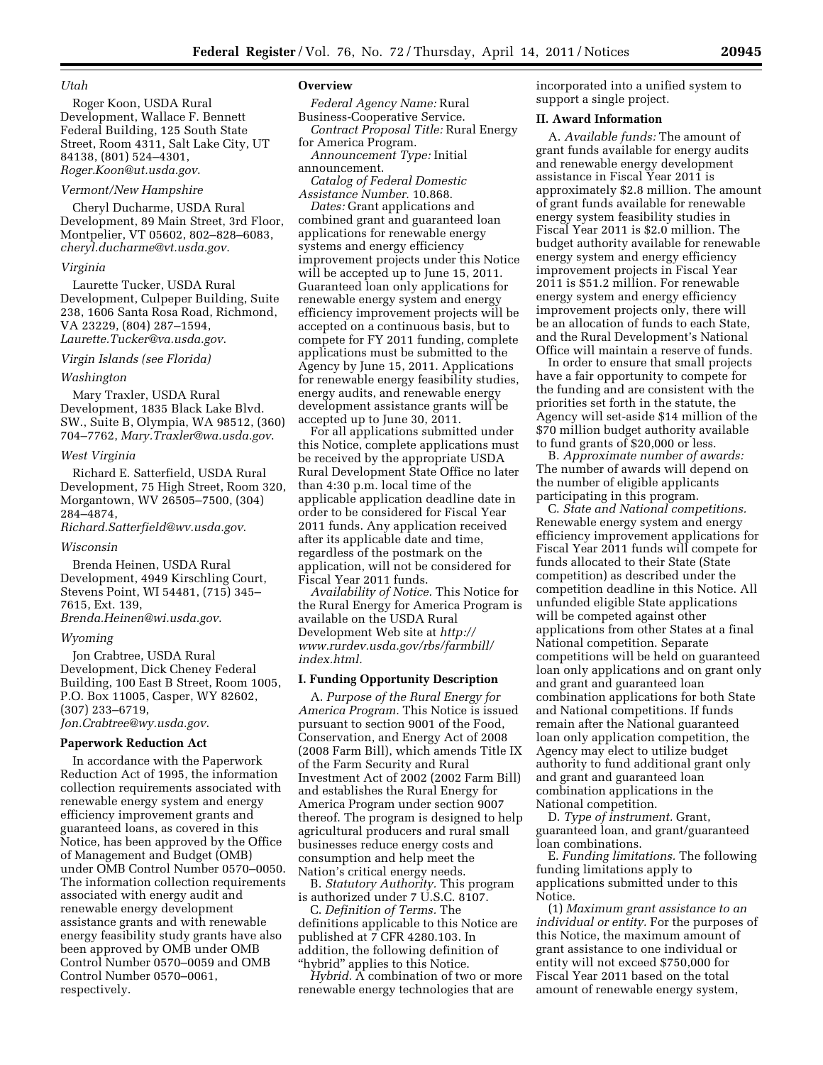## *Utah*

Roger Koon, USDA Rural Development, Wallace F. Bennett Federal Building, 125 South State Street, Room 4311, Salt Lake City, UT 84138, (801) 524–4301, *[Roger.Koon@ut.usda.gov](mailto:Roger.Koon@ut.usda.gov)*.

## *Vermont/New Hampshire*

Cheryl Ducharme, USDA Rural Development, 89 Main Street, 3rd Floor, Montpelier, VT 05602, 802–828–6083, *[cheryl.ducharme@vt.usda.gov](mailto:cheryl.ducharme@vt.usda.gov)*.

#### *Virginia*

Laurette Tucker, USDA Rural Development, Culpeper Building, Suite 238, 1606 Santa Rosa Road, Richmond, VA 23229, (804) 287–1594, *[Laurette.Tucker@va.usda.gov](mailto:Laurette.Tucker@va.usda.gov)*.

#### *Virgin Islands (see Florida)*

## *Washington*

Mary Traxler, USDA Rural Development, 1835 Black Lake Blvd. SW., Suite B, Olympia, WA 98512, (360) 704–7762, *[Mary.Traxler@wa.usda.gov](mailto:Mary.Traxler@wa.usda.gov)*.

#### *West Virginia*

Richard E. Satterfield, USDA Rural Development, 75 High Street, Room 320, Morgantown, WV 26505–7500, (304) 284–4874,

*[Richard.Satterfield@wv.usda.gov](mailto:Richard.Satterfield@wv.usda.gov)*.

# *Wisconsin*

Brenda Heinen, USDA Rural Development, 4949 Kirschling Court, Stevens Point, WI 54481, (715) 345– 7615, Ext. 139, *[Brenda.Heinen@wi.usda.gov](mailto:Brenda.Heinen@wi.usda.gov)*.

#### *Wyoming*

Jon Crabtree, USDA Rural Development, Dick Cheney Federal Building, 100 East B Street, Room 1005, P.O. Box 11005, Casper, WY 82602, (307) 233–6719, *[Jon.Crabtree@wy.usda.gov](mailto:Jon.Crabtree@wy.usda.gov)*.

## **Paperwork Reduction Act**

In accordance with the Paperwork Reduction Act of 1995, the information collection requirements associated with renewable energy system and energy efficiency improvement grants and guaranteed loans, as covered in this Notice, has been approved by the Office of Management and Budget (OMB) under OMB Control Number 0570–0050. The information collection requirements associated with energy audit and renewable energy development assistance grants and with renewable energy feasibility study grants have also been approved by OMB under OMB Control Number 0570–0059 and OMB Control Number 0570–0061, respectively.

## **Overview**

*Federal Agency Name:* Rural Business-Cooperative Service.

*Contract Proposal Title:* Rural Energy for America Program. *Announcement Type:* Initial

announcement. *Catalog of Federal Domestic* 

*Assistance Number.* 10.868.

*Dates:* Grant applications and combined grant and guaranteed loan applications for renewable energy systems and energy efficiency improvement projects under this Notice will be accepted up to June 15, 2011. Guaranteed loan only applications for renewable energy system and energy efficiency improvement projects will be accepted on a continuous basis, but to compete for FY 2011 funding, complete applications must be submitted to the Agency by June 15, 2011. Applications for renewable energy feasibility studies, energy audits, and renewable energy development assistance grants will be accepted up to June 30, 2011.

For all applications submitted under this Notice, complete applications must be received by the appropriate USDA Rural Development State Office no later than 4:30 p.m. local time of the applicable application deadline date in order to be considered for Fiscal Year 2011 funds. Any application received after its applicable date and time, regardless of the postmark on the application, will not be considered for Fiscal Year 2011 funds.

*Availability of Notice.* This Notice for the Rural Energy for America Program is available on the USDA Rural Development Web site at *[http://](http://www.rurdev.usda.gov/rbs/farmbill/index.html)  [www.rurdev.usda.gov/rbs/farmbill/](http://www.rurdev.usda.gov/rbs/farmbill/index.html) [index.html.](http://www.rurdev.usda.gov/rbs/farmbill/index.html)* 

#### **I. Funding Opportunity Description**

A. *Purpose of the Rural Energy for America Program.* This Notice is issued pursuant to section 9001 of the Food, Conservation, and Energy Act of 2008 (2008 Farm Bill), which amends Title IX of the Farm Security and Rural Investment Act of 2002 (2002 Farm Bill) and establishes the Rural Energy for America Program under section 9007 thereof. The program is designed to help agricultural producers and rural small businesses reduce energy costs and consumption and help meet the Nation's critical energy needs.

B. *Statutory Authority.* This program is authorized under 7 U.S.C. 8107.

C. *Definition of Terms.* The definitions applicable to this Notice are published at 7 CFR 4280.103. In addition, the following definition of ''hybrid'' applies to this Notice.

*Hybrid.* A combination of two or more renewable energy technologies that are

incorporated into a unified system to support a single project.

#### **II. Award Information**

A. *Available funds:* The amount of grant funds available for energy audits and renewable energy development assistance in Fiscal Year 2011 is approximately \$2.8 million. The amount of grant funds available for renewable energy system feasibility studies in Fiscal Year 2011 is \$2.0 million. The budget authority available for renewable energy system and energy efficiency improvement projects in Fiscal Year 2011 is \$51.2 million. For renewable energy system and energy efficiency improvement projects only, there will be an allocation of funds to each State, and the Rural Development's National Office will maintain a reserve of funds.

In order to ensure that small projects have a fair opportunity to compete for the funding and are consistent with the priorities set forth in the statute, the Agency will set-aside \$14 million of the \$70 million budget authority available to fund grants of \$20,000 or less.

B. *Approximate number of awards:*  The number of awards will depend on the number of eligible applicants participating in this program.

C. *State and National competitions.*  Renewable energy system and energy efficiency improvement applications for Fiscal Year 2011 funds will compete for funds allocated to their State (State competition) as described under the competition deadline in this Notice. All unfunded eligible State applications will be competed against other applications from other States at a final National competition. Separate competitions will be held on guaranteed loan only applications and on grant only and grant and guaranteed loan combination applications for both State and National competitions. If funds remain after the National guaranteed loan only application competition, the Agency may elect to utilize budget authority to fund additional grant only and grant and guaranteed loan combination applications in the National competition.

D. *Type of instrument.* Grant, guaranteed loan, and grant/guaranteed loan combinations.

E. *Funding limitations.* The following funding limitations apply to applications submitted under to this Notice.

(1) *Maximum grant assistance to an individual or entity.* For the purposes of this Notice, the maximum amount of grant assistance to one individual or entity will not exceed \$750,000 for Fiscal Year 2011 based on the total amount of renewable energy system,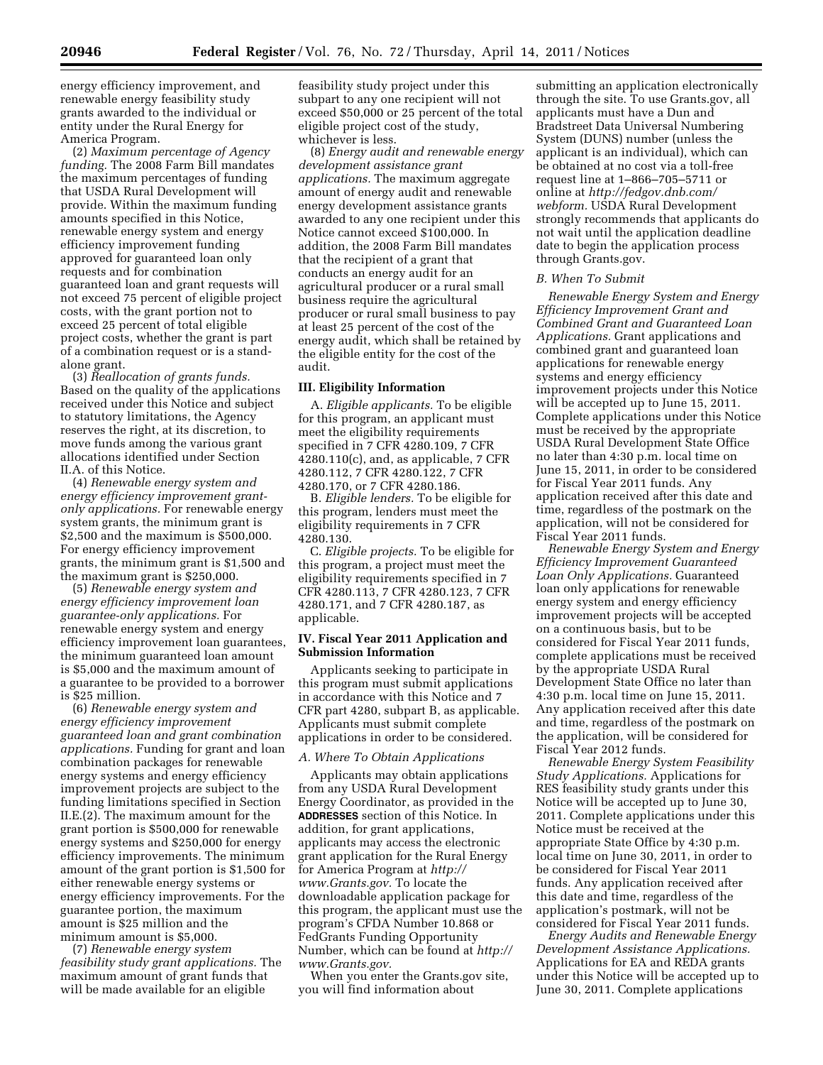energy efficiency improvement, and renewable energy feasibility study grants awarded to the individual or entity under the Rural Energy for America Program.

(2) *Maximum percentage of Agency funding.* The 2008 Farm Bill mandates the maximum percentages of funding that USDA Rural Development will provide. Within the maximum funding amounts specified in this Notice, renewable energy system and energy efficiency improvement funding approved for guaranteed loan only requests and for combination guaranteed loan and grant requests will not exceed 75 percent of eligible project costs, with the grant portion not to exceed 25 percent of total eligible project costs, whether the grant is part of a combination request or is a standalone grant.

(3) *Reallocation of grants funds.*  Based on the quality of the applications received under this Notice and subject to statutory limitations, the Agency reserves the right, at its discretion, to move funds among the various grant allocations identified under Section II.A. of this Notice.

(4) *Renewable energy system and energy efficiency improvement grantonly applications.* For renewable energy system grants, the minimum grant is \$2,500 and the maximum is \$500,000. For energy efficiency improvement grants, the minimum grant is \$1,500 and the maximum grant is \$250,000.

(5) *Renewable energy system and energy efficiency improvement loan guarantee-only applications.* For renewable energy system and energy efficiency improvement loan guarantees, the minimum guaranteed loan amount is \$5,000 and the maximum amount of a guarantee to be provided to a borrower is \$25 million.

(6) *Renewable energy system and energy efficiency improvement guaranteed loan and grant combination applications.* Funding for grant and loan combination packages for renewable energy systems and energy efficiency improvement projects are subject to the funding limitations specified in Section II.E.(2). The maximum amount for the grant portion is \$500,000 for renewable energy systems and \$250,000 for energy efficiency improvements. The minimum amount of the grant portion is \$1,500 for either renewable energy systems or energy efficiency improvements. For the guarantee portion, the maximum amount is \$25 million and the minimum amount is \$5,000.

(7) *Renewable energy system feasibility study grant applications.* The maximum amount of grant funds that will be made available for an eligible

feasibility study project under this subpart to any one recipient will not exceed \$50,000 or 25 percent of the total eligible project cost of the study, whichever is less.

(8) *Energy audit and renewable energy development assistance grant applications.* The maximum aggregate amount of energy audit and renewable energy development assistance grants awarded to any one recipient under this Notice cannot exceed \$100,000. In addition, the 2008 Farm Bill mandates that the recipient of a grant that conducts an energy audit for an agricultural producer or a rural small business require the agricultural producer or rural small business to pay at least 25 percent of the cost of the energy audit, which shall be retained by the eligible entity for the cost of the audit.

# **III. Eligibility Information**

A. *Eligible applicants.* To be eligible for this program, an applicant must meet the eligibility requirements specified in 7 CFR 4280.109, 7 CFR 4280.110(c), and, as applicable, 7 CFR 4280.112, 7 CFR 4280.122, 7 CFR 4280.170, or 7 CFR 4280.186.

B. *Eligible lenders.* To be eligible for this program, lenders must meet the eligibility requirements in 7 CFR 4280.130.

C. *Eligible projects.* To be eligible for this program, a project must meet the eligibility requirements specified in 7 CFR 4280.113, 7 CFR 4280.123, 7 CFR 4280.171, and 7 CFR 4280.187, as applicable.

# **IV. Fiscal Year 2011 Application and Submission Information**

Applicants seeking to participate in this program must submit applications in accordance with this Notice and 7 CFR part 4280, subpart B, as applicable. Applicants must submit complete applications in order to be considered.

#### *A. Where To Obtain Applications*

Applicants may obtain applications from any USDA Rural Development Energy Coordinator, as provided in the **ADDRESSES** section of this Notice. In addition, for grant applications, applicants may access the electronic grant application for the Rural Energy for America Program at *[http://](http://www.Grants.gov)  [www.Grants.gov.](http://www.Grants.gov)* To locate the downloadable application package for this program, the applicant must use the program's CFDA Number 10.868 or FedGrants Funding Opportunity Number, which can be found at *[http://](http://www.Grants.gov) [www.Grants.gov.](http://www.Grants.gov)* 

When you enter the Grants.gov site, you will find information about

submitting an application electronically through the site. To use Grants.gov, all applicants must have a Dun and Bradstreet Data Universal Numbering System (DUNS) number (unless the applicant is an individual), which can be obtained at no cost via a toll-free request line at 1–866–705–5711 or online at *[http://fedgov.dnb.com/](http://fedgov.dnb.com/webform)  [webform.](http://fedgov.dnb.com/webform)* USDA Rural Development strongly recommends that applicants do not wait until the application deadline date to begin the application process through Grants.gov.

## *B. When To Submit*

*Renewable Energy System and Energy Efficiency Improvement Grant and Combined Grant and Guaranteed Loan Applications.* Grant applications and combined grant and guaranteed loan applications for renewable energy systems and energy efficiency improvement projects under this Notice will be accepted up to June 15, 2011. Complete applications under this Notice must be received by the appropriate USDA Rural Development State Office no later than 4:30 p.m. local time on June 15, 2011, in order to be considered for Fiscal Year 2011 funds. Any application received after this date and time, regardless of the postmark on the application, will not be considered for Fiscal Year 2011 funds.

*Renewable Energy System and Energy Efficiency Improvement Guaranteed Loan Only Applications.* Guaranteed loan only applications for renewable energy system and energy efficiency improvement projects will be accepted on a continuous basis, but to be considered for Fiscal Year 2011 funds, complete applications must be received by the appropriate USDA Rural Development State Office no later than 4:30 p.m. local time on June 15, 2011. Any application received after this date and time, regardless of the postmark on the application, will be considered for Fiscal Year 2012 funds.

*Renewable Energy System Feasibility Study Applications.* Applications for RES feasibility study grants under this Notice will be accepted up to June 30, 2011. Complete applications under this Notice must be received at the appropriate State Office by 4:30 p.m. local time on June 30, 2011, in order to be considered for Fiscal Year 2011 funds. Any application received after this date and time, regardless of the application's postmark, will not be considered for Fiscal Year 2011 funds.

*Energy Audits and Renewable Energy Development Assistance Applications.*  Applications for EA and REDA grants under this Notice will be accepted up to June 30, 2011. Complete applications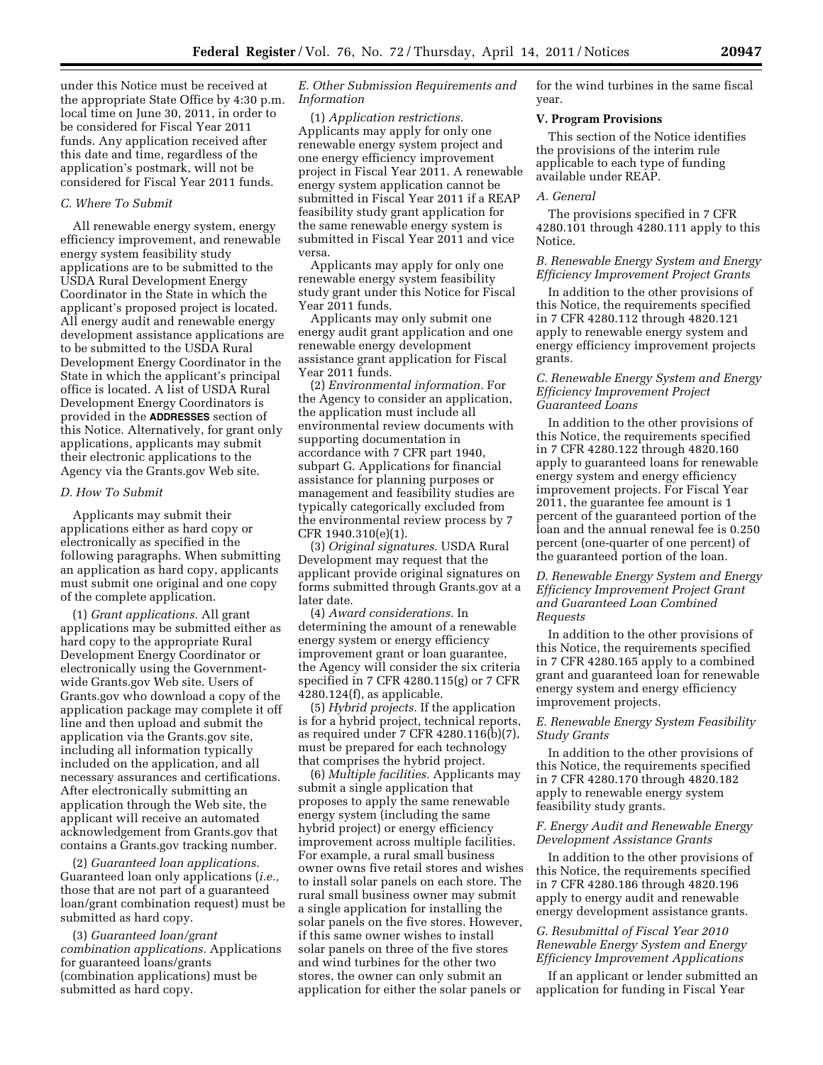under this Notice must be received at the appropriate State Office by 4:30 p.m. local time on June 30, 2011, in order to be considered for Fiscal Year 2011 funds. Any application received after this date and time, regardless of the application's postmark, will not be considered for Fiscal Year 2011 funds.

# *C. Where To Submit*

All renewable energy system, energy efficiency improvement, and renewable energy system feasibility study applications are to be submitted to the USDA Rural Development Energy Coordinator in the State in which the applicant's proposed project is located. All energy audit and renewable energy development assistance applications are to be submitted to the USDA Rural Development Energy Coordinator in the State in which the applicant's principal office is located. A list of USDA Rural Development Energy Coordinators is provided in the **ADDRESSES** section of this Notice. Alternatively, for grant only applications, applicants may submit their electronic applications to the Agency via the Grants.gov Web site.

#### *D. How To Submit*

Applicants may submit their applications either as hard copy or electronically as specified in the following paragraphs. When submitting an application as hard copy, applicants must submit one original and one copy of the complete application.

(1) *Grant applications.* All grant applications may be submitted either as hard copy to the appropriate Rural Development Energy Coordinator or electronically using the Governmentwide Grants.gov Web site. Users of Grants.gov who download a copy of the application package may complete it off line and then upload and submit the application via the Grants.gov site, including all information typically included on the application, and all necessary assurances and certifications. After electronically submitting an application through the Web site, the applicant will receive an automated acknowledgement from Grants.gov that contains a Grants.gov tracking number.

(2) *Guaranteed loan applications.*  Guaranteed loan only applications (*i.e.,*  those that are not part of a guaranteed loan/grant combination request) must be submitted as hard copy.

(3) *Guaranteed loan/grant combination applications.* Applications for guaranteed loans/grants (combination applications) must be submitted as hard copy.

# *E. Other Submission Requirements and Information*

(1) *Application restrictions.*  Applicants may apply for only one renewable energy system project and one energy efficiency improvement project in Fiscal Year 2011. A renewable energy system application cannot be submitted in Fiscal Year 2011 if a REAP feasibility study grant application for the same renewable energy system is submitted in Fiscal Year 2011 and vice versa.

Applicants may apply for only one renewable energy system feasibility study grant under this Notice for Fiscal Year 2011 funds.

Applicants may only submit one energy audit grant application and one renewable energy development assistance grant application for Fiscal Year 2011 funds.

(2) *Environmental information.* For the Agency to consider an application, the application must include all environmental review documents with supporting documentation in accordance with 7 CFR part 1940, subpart G. Applications for financial assistance for planning purposes or management and feasibility studies are typically categorically excluded from the environmental review process by 7 CFR 1940.310(e)(1).

(3) *Original signatures.* USDA Rural Development may request that the applicant provide original signatures on forms submitted through Grants.gov at a later date.

(4) *Award considerations.* In determining the amount of a renewable energy system or energy efficiency improvement grant or loan guarantee, the Agency will consider the six criteria specified in 7 CFR 4280.115(g) or 7 CFR 4280.124(f), as applicable.

(5) *Hybrid projects.* If the application is for a hybrid project, technical reports, as required under 7 CFR 4280.116(b)(7), must be prepared for each technology that comprises the hybrid project.

(6) *Multiple facilities.* Applicants may submit a single application that proposes to apply the same renewable energy system (including the same hybrid project) or energy efficiency improvement across multiple facilities. For example, a rural small business owner owns five retail stores and wishes to install solar panels on each store. The rural small business owner may submit a single application for installing the solar panels on the five stores. However, if this same owner wishes to install solar panels on three of the five stores and wind turbines for the other two stores, the owner can only submit an application for either the solar panels or

for the wind turbines in the same fiscal year.

#### **V. Program Provisions**

This section of the Notice identifies the provisions of the interim rule applicable to each type of funding available under REAP.

# *A. General*

The provisions specified in 7 CFR 4280.101 through 4280.111 apply to this Notice.

# *B. Renewable Energy System and Energy Efficiency Improvement Project Grants*

In addition to the other provisions of this Notice, the requirements specified in 7 CFR 4280.112 through 4820.121 apply to renewable energy system and energy efficiency improvement projects grants.

# *C. Renewable Energy System and Energy Efficiency Improvement Project Guaranteed Loans*

In addition to the other provisions of this Notice, the requirements specified in 7 CFR 4280.122 through 4820.160 apply to guaranteed loans for renewable energy system and energy efficiency improvement projects. For Fiscal Year 2011, the guarantee fee amount is 1 percent of the guaranteed portion of the loan and the annual renewal fee is 0.250 percent (one-quarter of one percent) of the guaranteed portion of the loan.

*D. Renewable Energy System and Energy Efficiency Improvement Project Grant and Guaranteed Loan Combined Requests* 

In addition to the other provisions of this Notice, the requirements specified in 7 CFR 4280.165 apply to a combined grant and guaranteed loan for renewable energy system and energy efficiency improvement projects.

# *E. Renewable Energy System Feasibility Study Grants*

In addition to the other provisions of this Notice, the requirements specified in 7 CFR 4280.170 through 4820.182 apply to renewable energy system feasibility study grants.

# *F. Energy Audit and Renewable Energy Development Assistance Grants*

In addition to the other provisions of this Notice, the requirements specified in 7 CFR 4280.186 through 4820.196 apply to energy audit and renewable energy development assistance grants.

# *G. Resubmittal of Fiscal Year 2010 Renewable Energy System and Energy Efficiency Improvement Applications*

If an applicant or lender submitted an application for funding in Fiscal Year